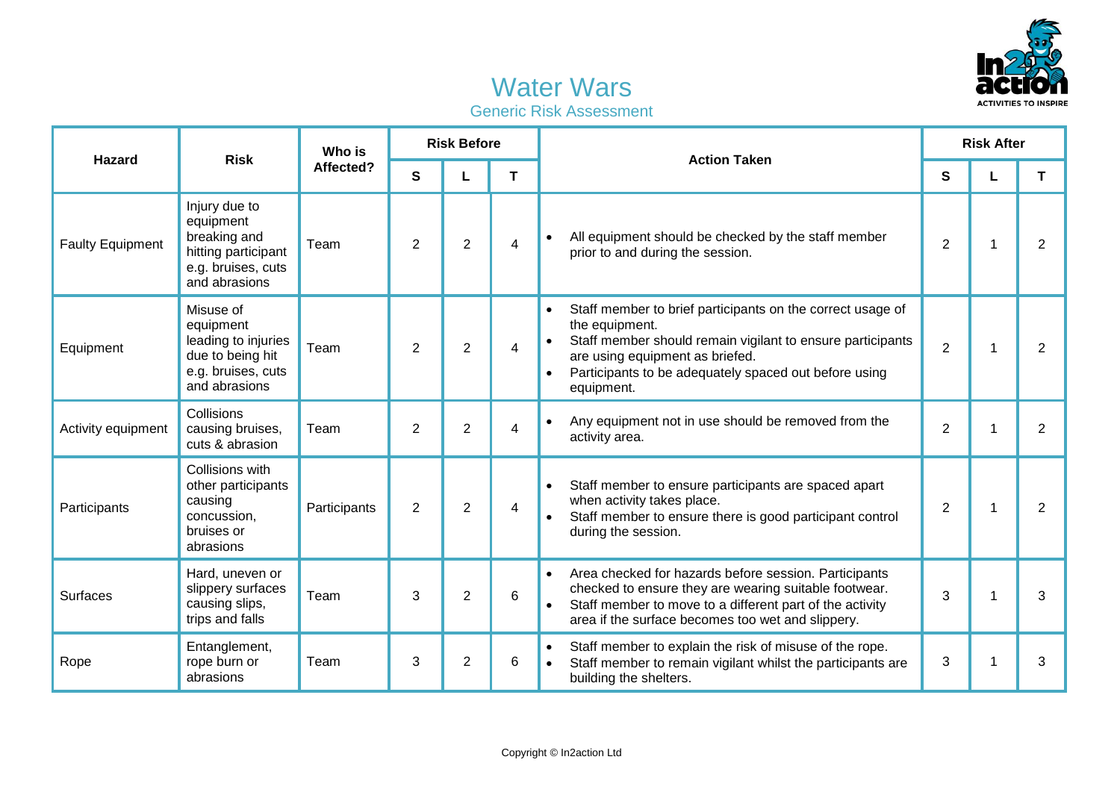

## Water Wars Generic Risk Assessment

| <b>Hazard</b>           | <b>Risk</b>                                                                                              | Who is<br>Affected? | <b>Risk Before</b> |                |   | <b>Action Taken</b>                                                                                                                                                                                                                                               | <b>Risk After</b> |   |                |
|-------------------------|----------------------------------------------------------------------------------------------------------|---------------------|--------------------|----------------|---|-------------------------------------------------------------------------------------------------------------------------------------------------------------------------------------------------------------------------------------------------------------------|-------------------|---|----------------|
|                         |                                                                                                          |                     | S                  |                | Τ |                                                                                                                                                                                                                                                                   | S                 |   | Τ              |
| <b>Faulty Equipment</b> | Injury due to<br>equipment<br>breaking and<br>hitting participant<br>e.g. bruises, cuts<br>and abrasions | Team                | 2                  | $\overline{2}$ | 4 | All equipment should be checked by the staff member<br>$\bullet$<br>prior to and during the session.                                                                                                                                                              | $\overline{2}$    | 1 | $\overline{2}$ |
| Equipment               | Misuse of<br>equipment<br>leading to injuries<br>due to being hit<br>e.g. bruises, cuts<br>and abrasions | Team                | 2                  | $\overline{2}$ | 4 | Staff member to brief participants on the correct usage of<br>$\bullet$<br>the equipment.<br>Staff member should remain vigilant to ensure participants<br>are using equipment as briefed.<br>Participants to be adequately spaced out before using<br>equipment. | $\overline{2}$    |   | $\overline{2}$ |
| Activity equipment      | Collisions<br>causing bruises,<br>cuts & abrasion                                                        | Team                | $\overline{2}$     | $\overline{2}$ | 4 | Any equipment not in use should be removed from the<br>$\bullet$<br>activity area.                                                                                                                                                                                | $\overline{2}$    |   | $\overline{2}$ |
| Participants            | Collisions with<br>other participants<br>causing<br>concussion,<br>bruises or<br>abrasions               | Participants        | 2                  | $\overline{2}$ | 4 | Staff member to ensure participants are spaced apart<br>$\bullet$<br>when activity takes place.<br>Staff member to ensure there is good participant control<br>during the session.                                                                                | $\overline{2}$    |   | $\overline{2}$ |
| <b>Surfaces</b>         | Hard, uneven or<br>slippery surfaces<br>causing slips,<br>trips and falls                                | Team                | 3                  | $\overline{2}$ | 6 | Area checked for hazards before session. Participants<br>checked to ensure they are wearing suitable footwear.<br>Staff member to move to a different part of the activity<br>area if the surface becomes too wet and slippery.                                   | 3                 |   | 3              |
| Rope                    | Entanglement,<br>rope burn or<br>abrasions                                                               | Team                | 3                  | $\overline{2}$ | 6 | Staff member to explain the risk of misuse of the rope.<br>$\bullet$<br>Staff member to remain vigilant whilst the participants are<br>$\bullet$<br>building the shelters.                                                                                        | 3                 | 1 | 3              |